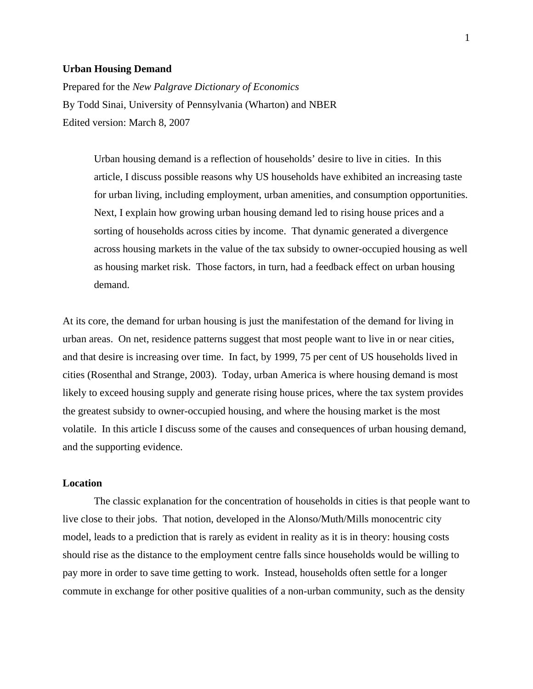### **Urban Housing Demand**

Prepared for the *New Palgrave Dictionary of Economics*  By Todd Sinai, University of Pennsylvania (Wharton) and NBER Edited version: March 8, 2007

> Urban housing demand is a reflection of households' desire to live in cities. In this article, I discuss possible reasons why US households have exhibited an increasing taste for urban living, including employment, urban amenities, and consumption opportunities. Next, I explain how growing urban housing demand led to rising house prices and a sorting of households across cities by income. That dynamic generated a divergence across housing markets in the value of the tax subsidy to owner-occupied housing as well as housing market risk. Those factors, in turn, had a feedback effect on urban housing demand.

At its core, the demand for urban housing is just the manifestation of the demand for living in urban areas. On net, residence patterns suggest that most people want to live in or near cities, and that desire is increasing over time. In fact, by 1999, 75 per cent of US households lived in cities (Rosenthal and Strange, 2003). Today, urban America is where housing demand is most likely to exceed housing supply and generate rising house prices, where the tax system provides the greatest subsidy to owner-occupied housing, and where the housing market is the most volatile. In this article I discuss some of the causes and consequences of urban housing demand, and the supporting evidence.

# **Location**

 The classic explanation for the concentration of households in cities is that people want to live close to their jobs. That notion, developed in the Alonso/Muth/Mills monocentric city model, leads to a prediction that is rarely as evident in reality as it is in theory: housing costs should rise as the distance to the employment centre falls since households would be willing to pay more in order to save time getting to work. Instead, households often settle for a longer commute in exchange for other positive qualities of a non-urban community, such as the density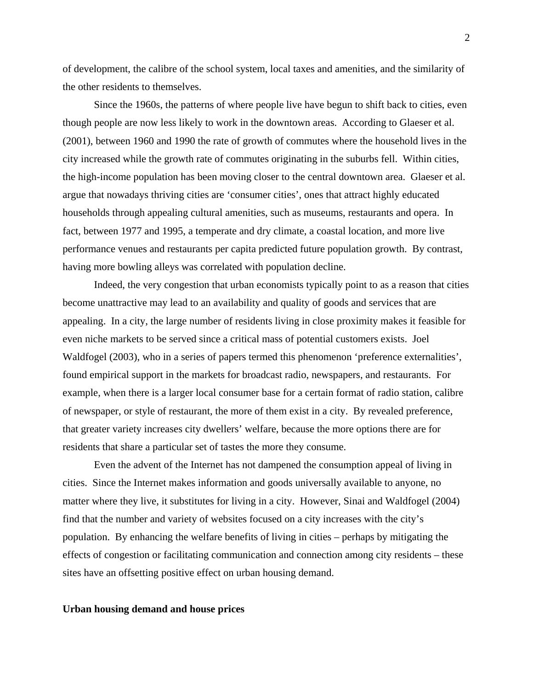of development, the calibre of the school system, local taxes and amenities, and the similarity of the other residents to themselves.

 Since the 1960s, the patterns of where people live have begun to shift back to cities, even though people are now less likely to work in the downtown areas. According to Glaeser et al. (2001), between 1960 and 1990 the rate of growth of commutes where the household lives in the city increased while the growth rate of commutes originating in the suburbs fell. Within cities, the high-income population has been moving closer to the central downtown area. Glaeser et al. argue that nowadays thriving cities are 'consumer cities', ones that attract highly educated households through appealing cultural amenities, such as museums, restaurants and opera. In fact, between 1977 and 1995, a temperate and dry climate, a coastal location, and more live performance venues and restaurants per capita predicted future population growth. By contrast, having more bowling alleys was correlated with population decline.

 Indeed, the very congestion that urban economists typically point to as a reason that cities become unattractive may lead to an availability and quality of goods and services that are appealing. In a city, the large number of residents living in close proximity makes it feasible for even niche markets to be served since a critical mass of potential customers exists. Joel Waldfogel (2003), who in a series of papers termed this phenomenon 'preference externalities', found empirical support in the markets for broadcast radio, newspapers, and restaurants. For example, when there is a larger local consumer base for a certain format of radio station, calibre of newspaper, or style of restaurant, the more of them exist in a city. By revealed preference, that greater variety increases city dwellers' welfare, because the more options there are for residents that share a particular set of tastes the more they consume.

 Even the advent of the Internet has not dampened the consumption appeal of living in cities. Since the Internet makes information and goods universally available to anyone, no matter where they live, it substitutes for living in a city. However, Sinai and Waldfogel (2004) find that the number and variety of websites focused on a city increases with the city's population. By enhancing the welfare benefits of living in cities – perhaps by mitigating the effects of congestion or facilitating communication and connection among city residents – these sites have an offsetting positive effect on urban housing demand.

### **Urban housing demand and house prices**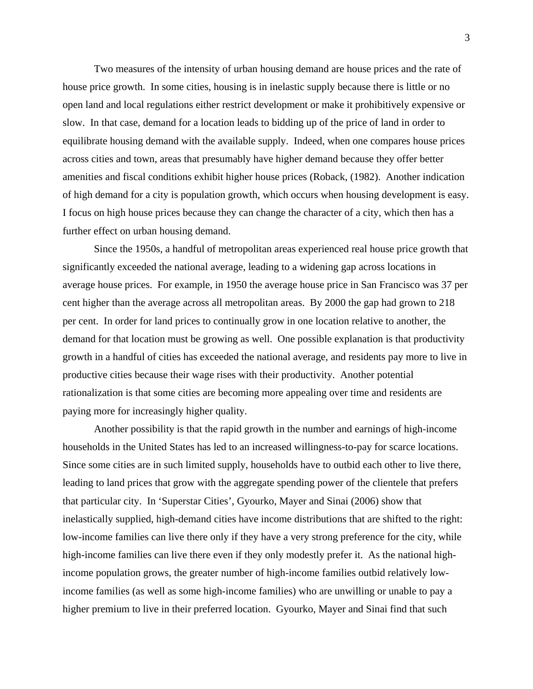Two measures of the intensity of urban housing demand are house prices and the rate of house price growth. In some cities, housing is in inelastic supply because there is little or no open land and local regulations either restrict development or make it prohibitively expensive or slow. In that case, demand for a location leads to bidding up of the price of land in order to equilibrate housing demand with the available supply. Indeed, when one compares house prices across cities and town, areas that presumably have higher demand because they offer better amenities and fiscal conditions exhibit higher house prices (Roback, (1982). Another indication of high demand for a city is population growth, which occurs when housing development is easy. I focus on high house prices because they can change the character of a city, which then has a further effect on urban housing demand.

 Since the 1950s, a handful of metropolitan areas experienced real house price growth that significantly exceeded the national average, leading to a widening gap across locations in average house prices. For example, in 1950 the average house price in San Francisco was 37 per cent higher than the average across all metropolitan areas. By 2000 the gap had grown to 218 per cent. In order for land prices to continually grow in one location relative to another, the demand for that location must be growing as well. One possible explanation is that productivity growth in a handful of cities has exceeded the national average, and residents pay more to live in productive cities because their wage rises with their productivity. Another potential rationalization is that some cities are becoming more appealing over time and residents are paying more for increasingly higher quality.

 Another possibility is that the rapid growth in the number and earnings of high-income households in the United States has led to an increased willingness-to-pay for scarce locations. Since some cities are in such limited supply, households have to outbid each other to live there, leading to land prices that grow with the aggregate spending power of the clientele that prefers that particular city. In 'Superstar Cities', Gyourko, Mayer and Sinai (2006) show that inelastically supplied, high-demand cities have income distributions that are shifted to the right: low-income families can live there only if they have a very strong preference for the city, while high-income families can live there even if they only modestly prefer it. As the national highincome population grows, the greater number of high-income families outbid relatively lowincome families (as well as some high-income families) who are unwilling or unable to pay a higher premium to live in their preferred location. Gyourko, Mayer and Sinai find that such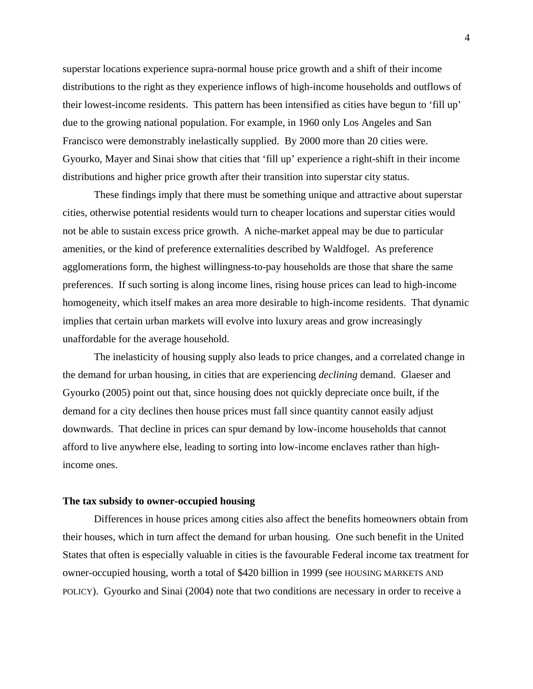superstar locations experience supra-normal house price growth and a shift of their income distributions to the right as they experience inflows of high-income households and outflows of their lowest-income residents. This pattern has been intensified as cities have begun to 'fill up' due to the growing national population. For example, in 1960 only Los Angeles and San Francisco were demonstrably inelastically supplied. By 2000 more than 20 cities were. Gyourko, Mayer and Sinai show that cities that 'fill up' experience a right-shift in their income distributions and higher price growth after their transition into superstar city status.

These findings imply that there must be something unique and attractive about superstar cities, otherwise potential residents would turn to cheaper locations and superstar cities would not be able to sustain excess price growth. A niche-market appeal may be due to particular amenities, or the kind of preference externalities described by Waldfogel. As preference agglomerations form, the highest willingness-to-pay households are those that share the same preferences. If such sorting is along income lines, rising house prices can lead to high-income homogeneity, which itself makes an area more desirable to high-income residents. That dynamic implies that certain urban markets will evolve into luxury areas and grow increasingly unaffordable for the average household.

The inelasticity of housing supply also leads to price changes, and a correlated change in the demand for urban housing, in cities that are experiencing *declining* demand. Glaeser and Gyourko (2005) point out that, since housing does not quickly depreciate once built, if the demand for a city declines then house prices must fall since quantity cannot easily adjust downwards. That decline in prices can spur demand by low-income households that cannot afford to live anywhere else, leading to sorting into low-income enclaves rather than highincome ones.

#### **The tax subsidy to owner-occupied housing**

Differences in house prices among cities also affect the benefits homeowners obtain from their houses, which in turn affect the demand for urban housing. One such benefit in the United States that often is especially valuable in cities is the favourable Federal income tax treatment for owner-occupied housing, worth a total of \$420 billion in 1999 (see HOUSING MARKETS AND POLICY). Gyourko and Sinai (2004) note that two conditions are necessary in order to receive a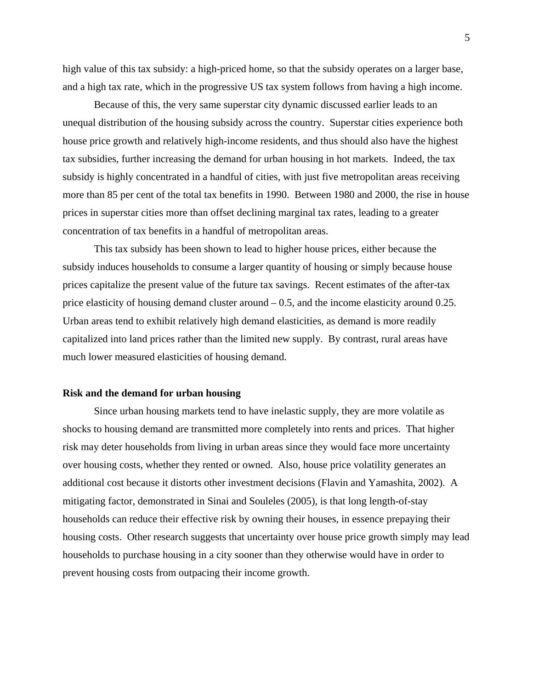high value of this tax subsidy: a high-priced home, so that the subsidy operates on a larger base, and a high tax rate, which in the progressive US tax system follows from having a high income.

Because of this, the very same superstar city dynamic discussed earlier leads to an unequal distribution of the housing subsidy across the country. Superstar cities experience both house price growth and relatively high-income residents, and thus should also have the highest tax subsidies, further increasing the demand for urban housing in hot markets. Indeed, the tax subsidy is highly concentrated in a handful of cities, with just five metropolitan areas receiving more than 85 per cent of the total tax benefits in 1990. Between 1980 and 2000, the rise in house prices in superstar cities more than offset declining marginal tax rates, leading to a greater concentration of tax benefits in a handful of metropolitan areas.

This tax subsidy has been shown to lead to higher house prices, either because the subsidy induces households to consume a larger quantity of housing or simply because house prices capitalize the present value of the future tax savings. Recent estimates of the after-tax price elasticity of housing demand cluster around – 0.5, and the income elasticity around 0.25. Urban areas tend to exhibit relatively high demand elasticities, as demand is more readily capitalized into land prices rather than the limited new supply. By contrast, rural areas have much lower measured elasticities of housing demand.

### **Risk and the demand for urban housing**

Since urban housing markets tend to have inelastic supply, they are more volatile as shocks to housing demand are transmitted more completely into rents and prices. That higher risk may deter households from living in urban areas since they would face more uncertainty over housing costs, whether they rented or owned. Also, house price volatility generates an additional cost because it distorts other investment decisions (Flavin and Yamashita, 2002). A mitigating factor, demonstrated in Sinai and Souleles (2005), is that long length-of-stay households can reduce their effective risk by owning their houses, in essence prepaying their housing costs. Other research suggests that uncertainty over house price growth simply may lead households to purchase housing in a city sooner than they otherwise would have in order to prevent housing costs from outpacing their income growth.